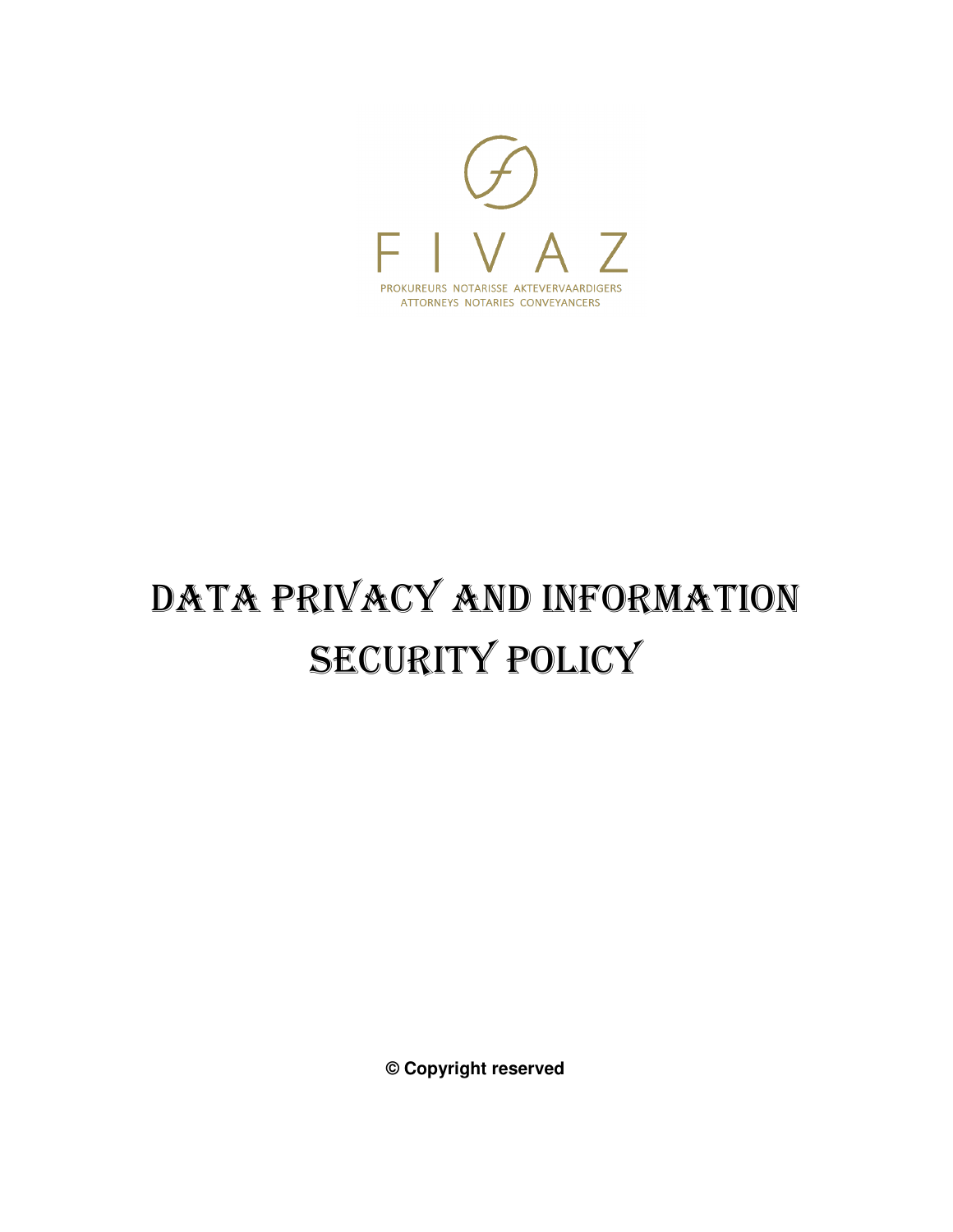

# DATA PRIVACY AND INFORMATION SECURITY POLICY

**© Copyright reserved**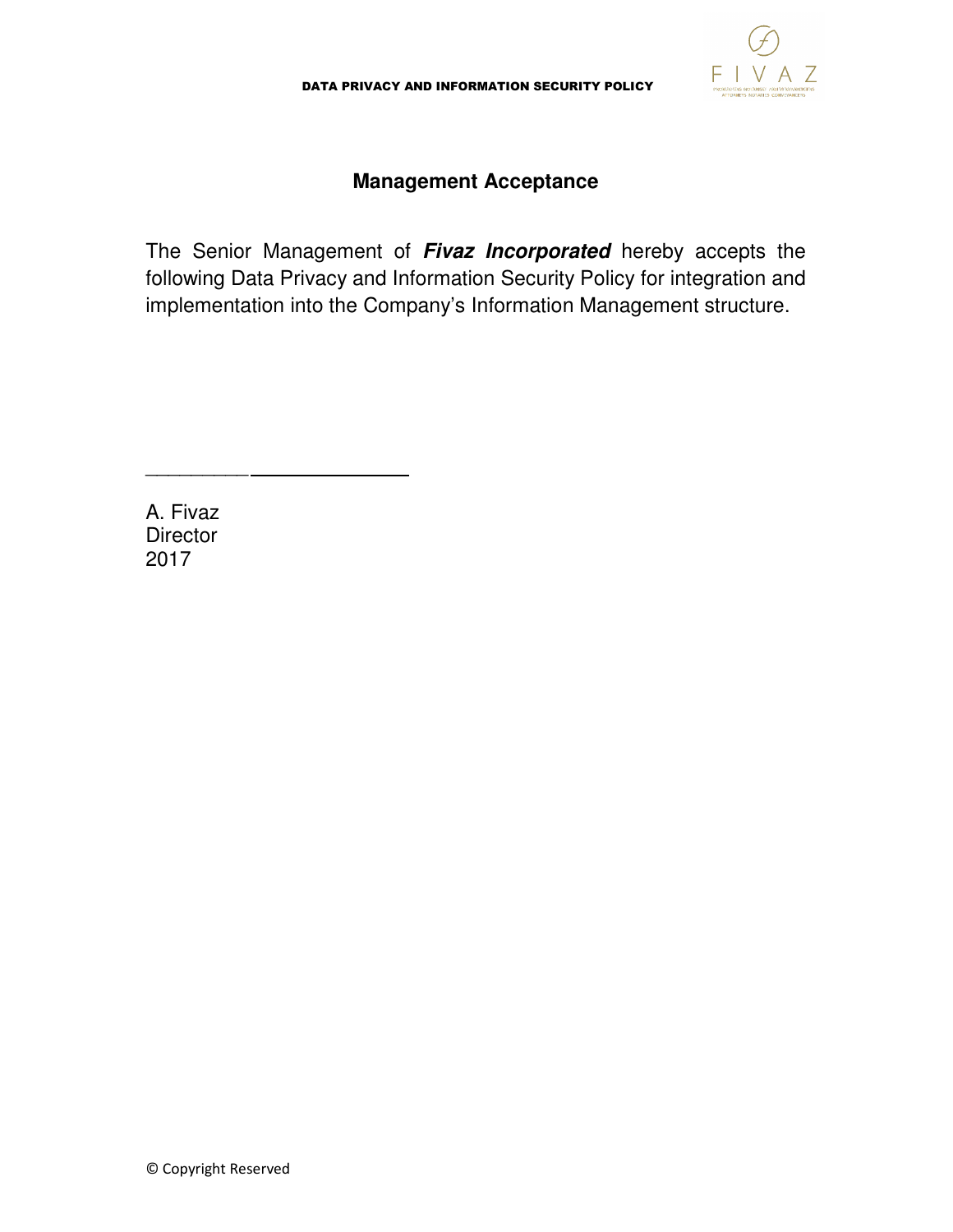

# **Management Acceptance**

The Senior Management of **Fivaz Incorporated** hereby accepts the following Data Privacy and Information Security Policy for integration and implementation into the Company's Information Management structure.

A. Fivaz **Director** 2017

\_\_\_\_\_\_\_\_\_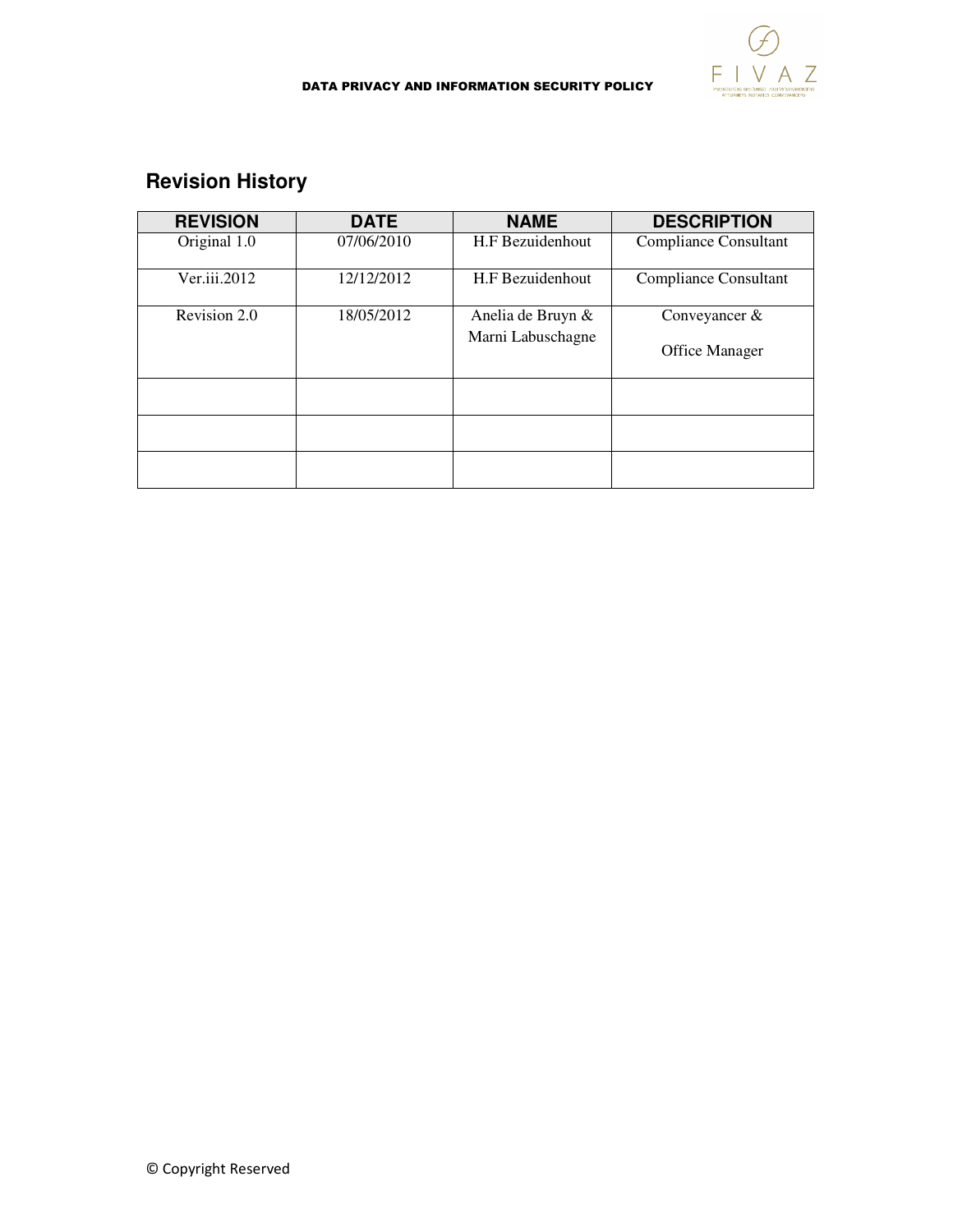

#### DATA PRIVACY AND INFORMATION SECURITY POLICY

# **Revision History**

| <b>REVISION</b> | <b>DATE</b> | <b>NAME</b>       | <b>DESCRIPTION</b>           |
|-----------------|-------------|-------------------|------------------------------|
| Original 1.0    | 07/06/2010  | H.F Bezuidenhout  | <b>Compliance Consultant</b> |
| Ver.iii.2012    | 12/12/2012  | H.F Bezuidenhout  | Compliance Consultant        |
| Revision 2.0    | 18/05/2012  | Anelia de Bruyn & | Conveyancer &                |
|                 |             | Marni Labuschagne | Office Manager               |
|                 |             |                   |                              |
|                 |             |                   |                              |
|                 |             |                   |                              |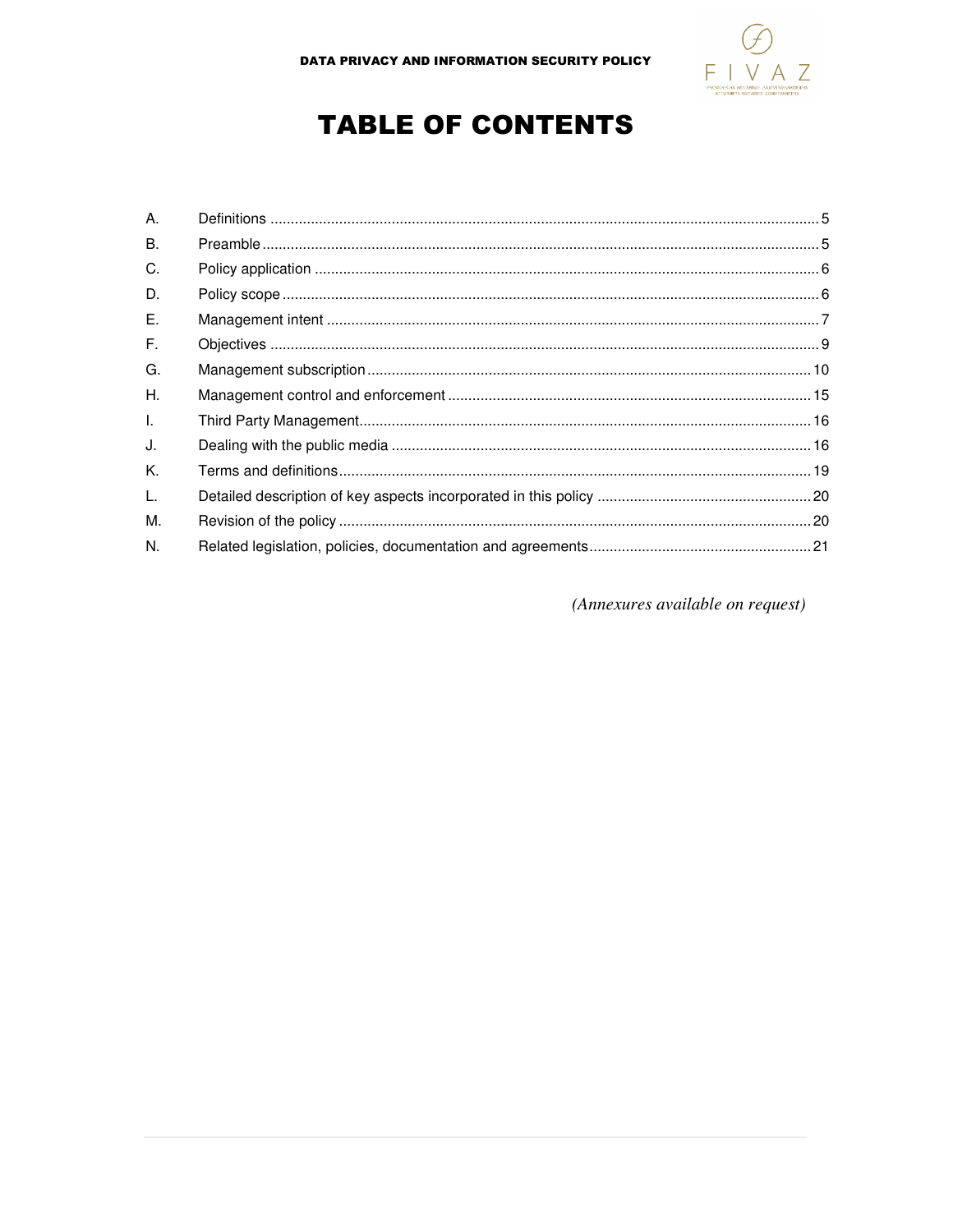

# **TABLE OF CONTENTS**

| А. |  |
|----|--|
| Β. |  |
| C. |  |
| D. |  |
| Ε. |  |
| F. |  |
| G. |  |
| Η. |  |
| L. |  |
| J. |  |
| K. |  |
| L. |  |
| Μ. |  |
| N. |  |

(Annexures available on request)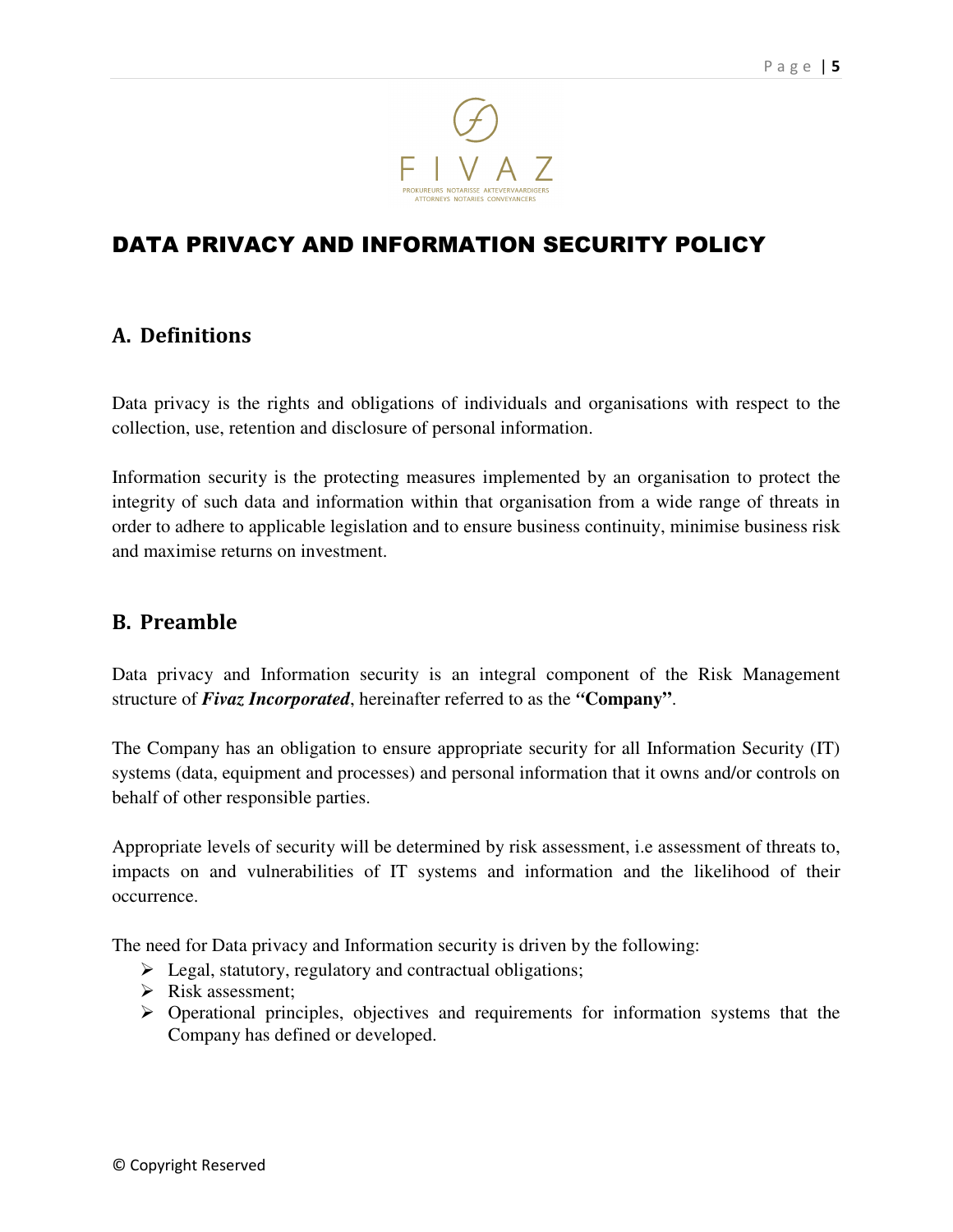

# DATA PRIVACY AND INFORMATION SECURITY POLICY

# A. Definitions

Data privacy is the rights and obligations of individuals and organisations with respect to the collection, use, retention and disclosure of personal information.

Information security is the protecting measures implemented by an organisation to protect the integrity of such data and information within that organisation from a wide range of threats in order to adhere to applicable legislation and to ensure business continuity, minimise business risk and maximise returns on investment.

# B. Preamble

Data privacy and Information security is an integral component of the Risk Management structure of *Fivaz Incorporated*, hereinafter referred to as the *"***Company"**.

The Company has an obligation to ensure appropriate security for all Information Security (IT) systems (data, equipment and processes) and personal information that it owns and/or controls on behalf of other responsible parties.

Appropriate levels of security will be determined by risk assessment, i.e assessment of threats to, impacts on and vulnerabilities of IT systems and information and the likelihood of their occurrence.

The need for Data privacy and Information security is driven by the following:

- $\blacktriangleright$  Legal, statutory, regulatory and contractual obligations;
- $\triangleright$  Risk assessment;
- $\triangleright$  Operational principles, objectives and requirements for information systems that the Company has defined or developed.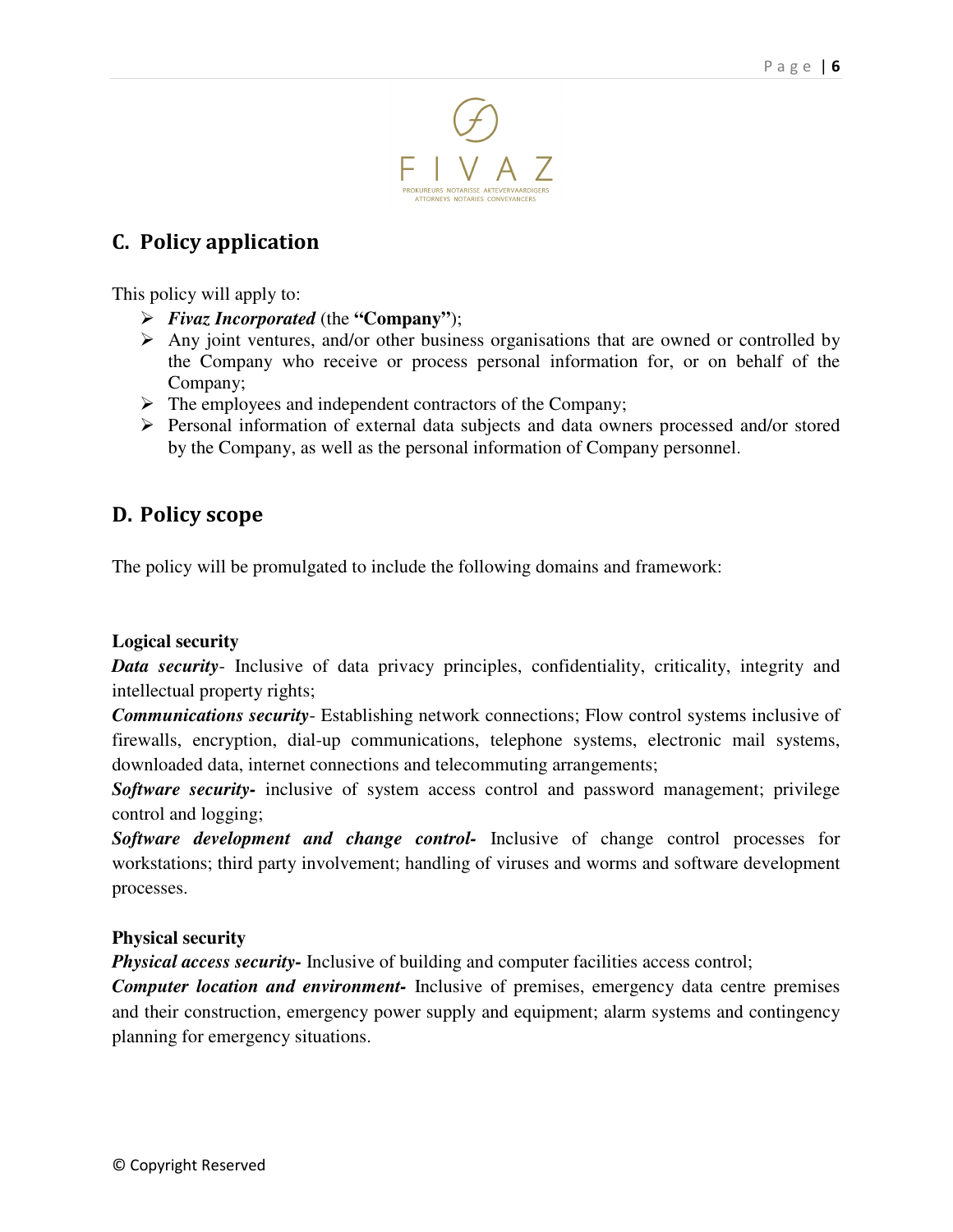

# C. Policy application

This policy will apply to:

- *Fivaz Incorporated* (the **"Company"**);
- $\triangleright$  Any joint ventures, and/or other business organisations that are owned or controlled by the Company who receive or process personal information for, or on behalf of the Company;
- $\triangleright$  The employees and independent contractors of the Company;
- Personal information of external data subjects and data owners processed and/or stored by the Company, as well as the personal information of Company personnel.

# D. Policy scope

The policy will be promulgated to include the following domains and framework:

#### **Logical security**

**Data security**- Inclusive of data privacy principles, confidentiality, criticality, integrity and intellectual property rights;

*Communications security*- Establishing network connections; Flow control systems inclusive of firewalls, encryption, dial-up communications, telephone systems, electronic mail systems, downloaded data, internet connections and telecommuting arrangements;

*Software security-* inclusive of system access control and password management; privilege control and logging;

*Software development and change control-* Inclusive of change control processes for workstations; third party involvement; handling of viruses and worms and software development processes.

#### **Physical security**

*Physical access security-* Inclusive of building and computer facilities access control;

*Computer location and environment-* Inclusive of premises, emergency data centre premises and their construction, emergency power supply and equipment; alarm systems and contingency planning for emergency situations.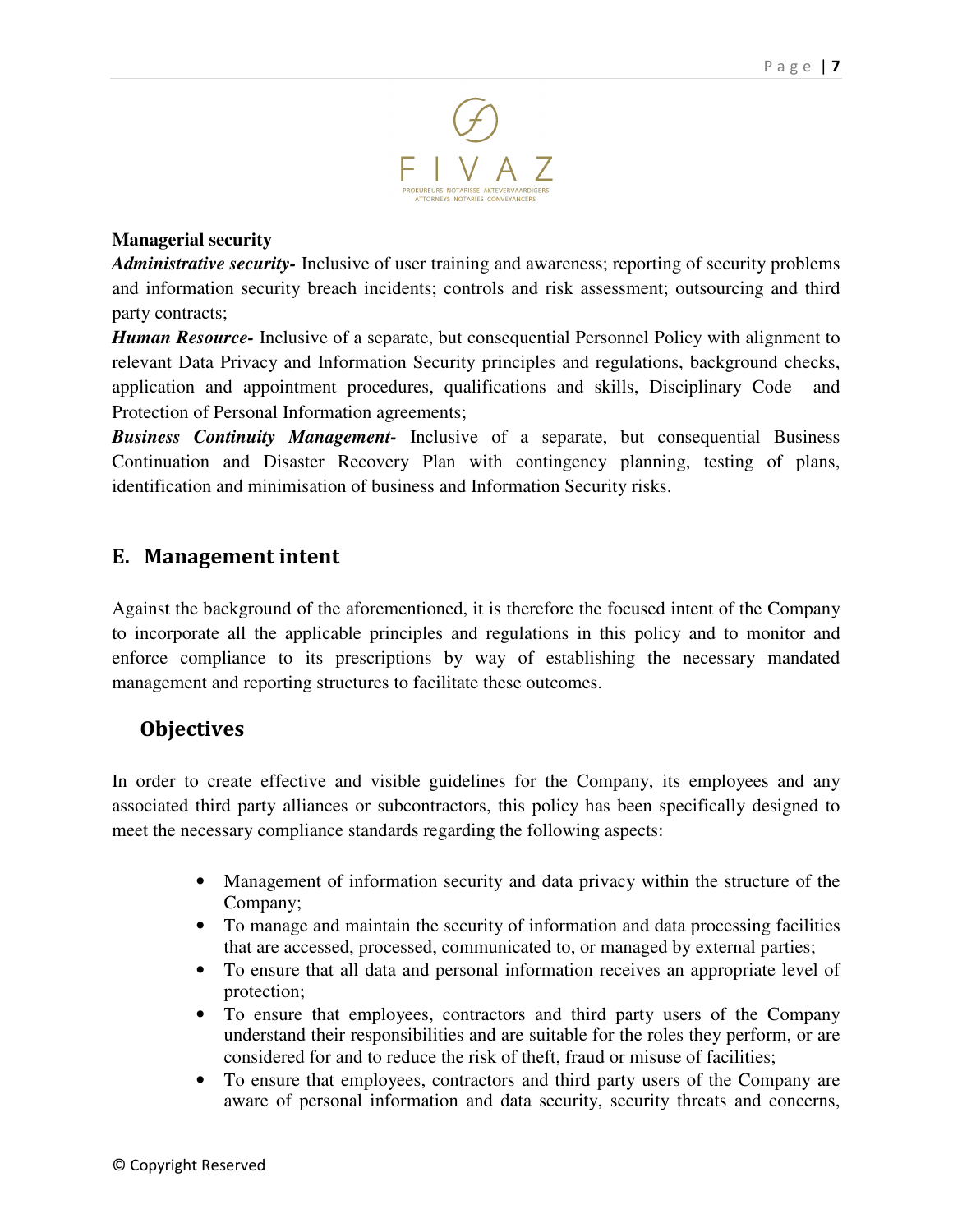

#### **Managerial security**

*Administrative security-* Inclusive of user training and awareness; reporting of security problems and information security breach incidents; controls and risk assessment; outsourcing and third party contracts;

*Human Resource-* Inclusive of a separate, but consequential Personnel Policy with alignment to relevant Data Privacy and Information Security principles and regulations, background checks, application and appointment procedures, qualifications and skills, Disciplinary Code and Protection of Personal Information agreements;

*Business Continuity Management-* Inclusive of a separate, but consequential Business Continuation and Disaster Recovery Plan with contingency planning, testing of plans, identification and minimisation of business and Information Security risks.

# E. Management intent

Against the background of the aforementioned, it is therefore the focused intent of the Company to incorporate all the applicable principles and regulations in this policy and to monitor and enforce compliance to its prescriptions by way of establishing the necessary mandated management and reporting structures to facilitate these outcomes.

# **Objectives**

In order to create effective and visible guidelines for the Company, its employees and any associated third party alliances or subcontractors, this policy has been specifically designed to meet the necessary compliance standards regarding the following aspects:

- Management of information security and data privacy within the structure of the Company;
- To manage and maintain the security of information and data processing facilities that are accessed, processed, communicated to, or managed by external parties;
- To ensure that all data and personal information receives an appropriate level of protection;
- To ensure that employees, contractors and third party users of the Company understand their responsibilities and are suitable for the roles they perform, or are considered for and to reduce the risk of theft, fraud or misuse of facilities;
- To ensure that employees, contractors and third party users of the Company are aware of personal information and data security, security threats and concerns,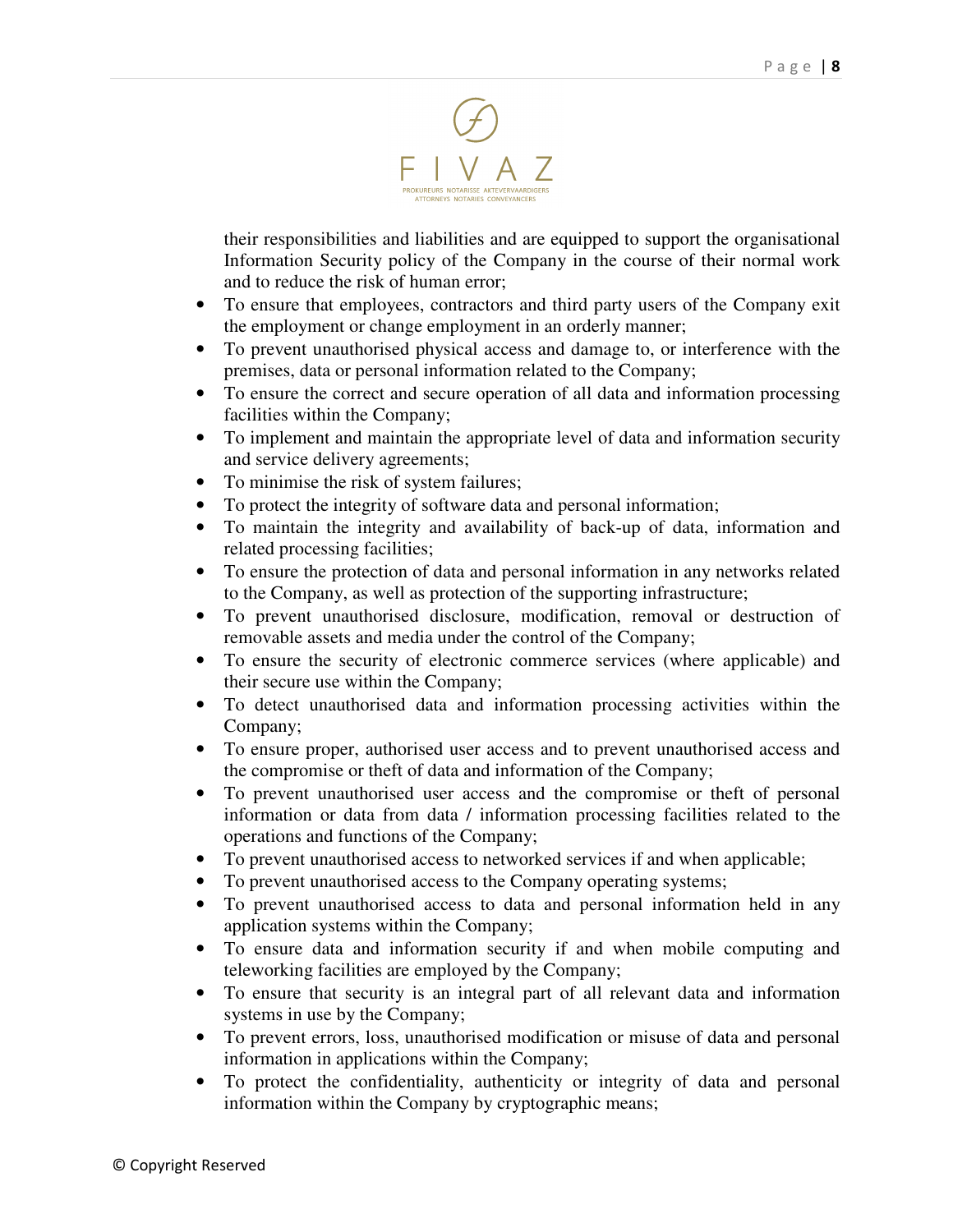

their responsibilities and liabilities and are equipped to support the organisational Information Security policy of the Company in the course of their normal work and to reduce the risk of human error;

- To ensure that employees, contractors and third party users of the Company exit the employment or change employment in an orderly manner;
- To prevent unauthorised physical access and damage to, or interference with the premises, data or personal information related to the Company;
- To ensure the correct and secure operation of all data and information processing facilities within the Company;
- To implement and maintain the appropriate level of data and information security and service delivery agreements;
- To minimise the risk of system failures;
- To protect the integrity of software data and personal information;
- To maintain the integrity and availability of back-up of data, information and related processing facilities;
- To ensure the protection of data and personal information in any networks related to the Company, as well as protection of the supporting infrastructure;
- To prevent unauthorised disclosure, modification, removal or destruction of removable assets and media under the control of the Company;
- To ensure the security of electronic commerce services (where applicable) and their secure use within the Company;
- To detect unauthorised data and information processing activities within the Company;
- To ensure proper, authorised user access and to prevent unauthorised access and the compromise or theft of data and information of the Company;
- To prevent unauthorised user access and the compromise or theft of personal information or data from data / information processing facilities related to the operations and functions of the Company;
- To prevent unauthorised access to networked services if and when applicable;
- To prevent unauthorised access to the Company operating systems;
- To prevent unauthorised access to data and personal information held in any application systems within the Company;
- To ensure data and information security if and when mobile computing and teleworking facilities are employed by the Company;
- To ensure that security is an integral part of all relevant data and information systems in use by the Company;
- To prevent errors, loss, unauthorised modification or misuse of data and personal information in applications within the Company;
- To protect the confidentiality, authenticity or integrity of data and personal information within the Company by cryptographic means;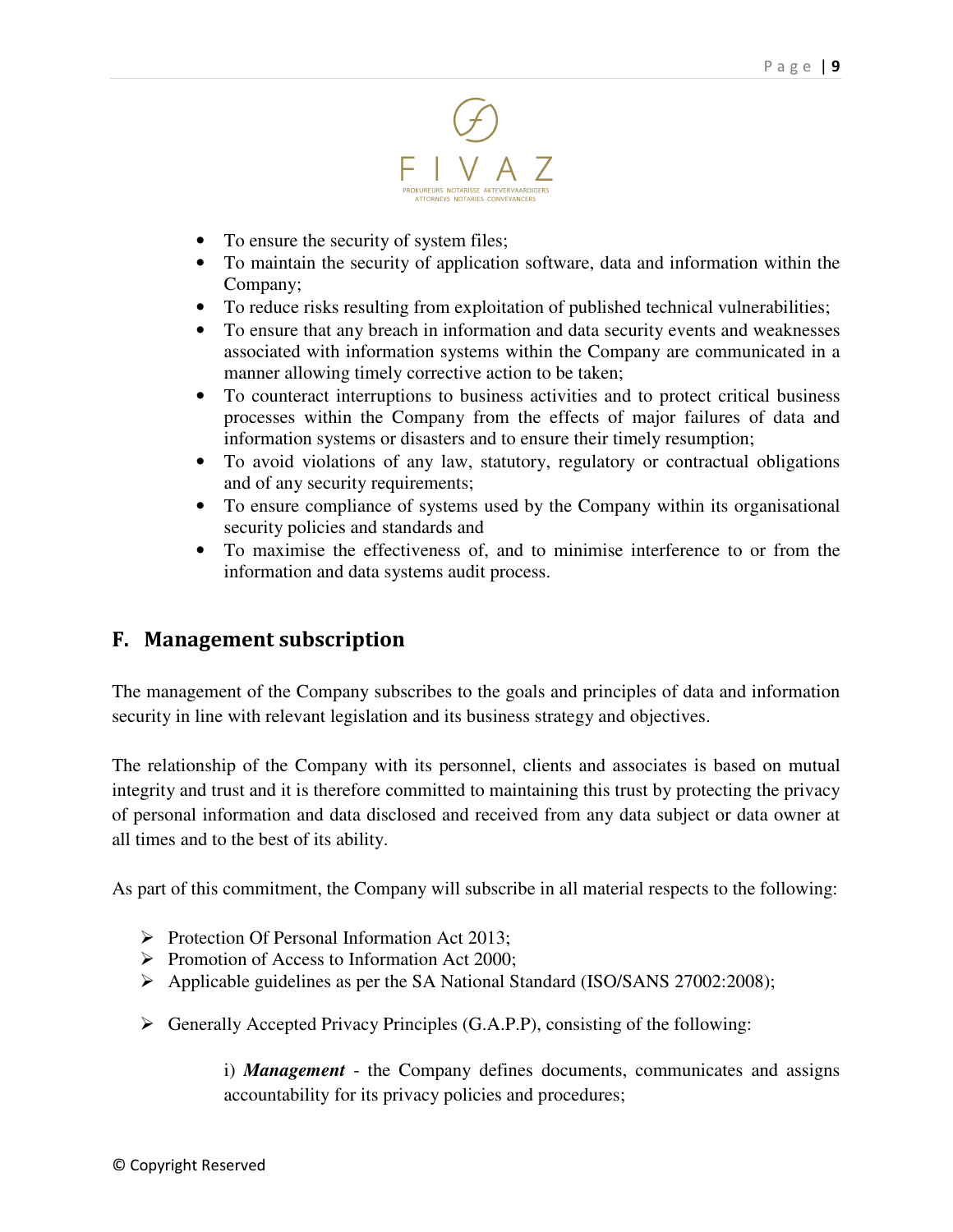

- To ensure the security of system files;
- To maintain the security of application software, data and information within the Company;
- To reduce risks resulting from exploitation of published technical vulnerabilities;
- To ensure that any breach in information and data security events and weaknesses associated with information systems within the Company are communicated in a manner allowing timely corrective action to be taken;
- To counteract interruptions to business activities and to protect critical business processes within the Company from the effects of major failures of data and information systems or disasters and to ensure their timely resumption;
- To avoid violations of any law, statutory, regulatory or contractual obligations and of any security requirements;
- To ensure compliance of systems used by the Company within its organisational security policies and standards and
- To maximise the effectiveness of, and to minimise interference to or from the information and data systems audit process.

# F. Management subscription

The management of the Company subscribes to the goals and principles of data and information security in line with relevant legislation and its business strategy and objectives.

The relationship of the Company with its personnel, clients and associates is based on mutual integrity and trust and it is therefore committed to maintaining this trust by protecting the privacy of personal information and data disclosed and received from any data subject or data owner at all times and to the best of its ability.

As part of this commitment, the Company will subscribe in all material respects to the following:

- $\triangleright$  Protection Of Personal Information Act 2013:
- Promotion of Access to Information Act 2000:
- Applicable guidelines as per the SA National Standard (ISO/SANS 27002:2008);
- $\triangleright$  Generally Accepted Privacy Principles (G.A.P.P), consisting of the following:

i) *Management* - the Company defines documents, communicates and assigns accountability for its privacy policies and procedures;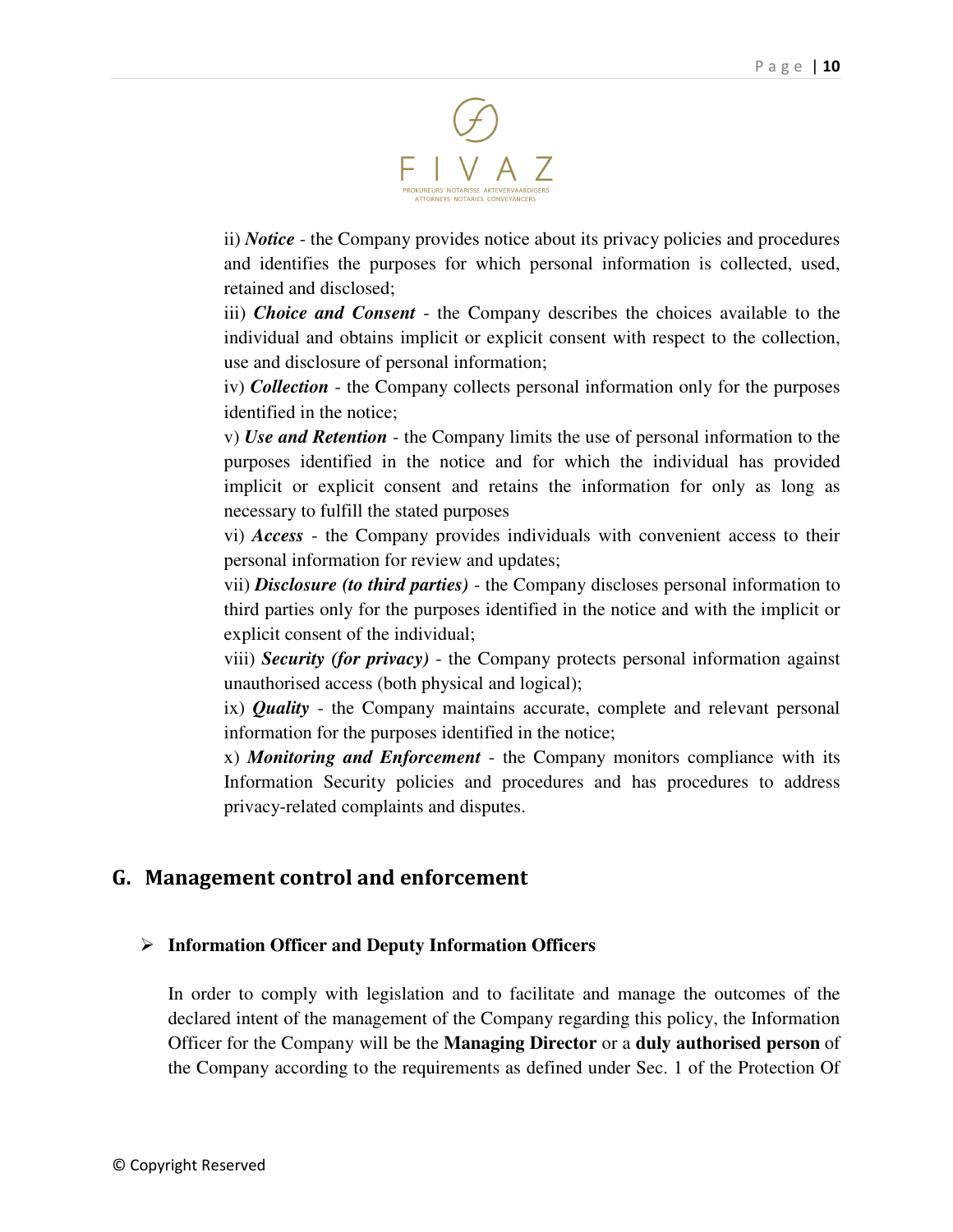

ii) *Notice* - the Company provides notice about its privacy policies and procedures and identifies the purposes for which personal information is collected, used, retained and disclosed;

iii) *Choice and Consent* - the Company describes the choices available to the individual and obtains implicit or explicit consent with respect to the collection, use and disclosure of personal information;

iv) *Collection* - the Company collects personal information only for the purposes identified in the notice;

v) *Use and Retention* - the Company limits the use of personal information to the purposes identified in the notice and for which the individual has provided implicit or explicit consent and retains the information for only as long as necessary to fulfill the stated purposes

vi) *Access* - the Company provides individuals with convenient access to their personal information for review and updates;

vii) *Disclosure (to third parties)* - the Company discloses personal information to third parties only for the purposes identified in the notice and with the implicit or explicit consent of the individual;

viii) *Security (for privacy)* - the Company protects personal information against unauthorised access (both physical and logical);

ix) *Quality* - the Company maintains accurate, complete and relevant personal information for the purposes identified in the notice;

x) *Monitoring and Enforcement* - the Company monitors compliance with its Information Security policies and procedures and has procedures to address privacy-related complaints and disputes.

# G. Management control and enforcement

#### **Information Officer and Deputy Information Officers**

In order to comply with legislation and to facilitate and manage the outcomes of the declared intent of the management of the Company regarding this policy, the Information Officer for the Company will be the **Managing Director** or a **duly authorised person** of the Company according to the requirements as defined under Sec. 1 of the Protection Of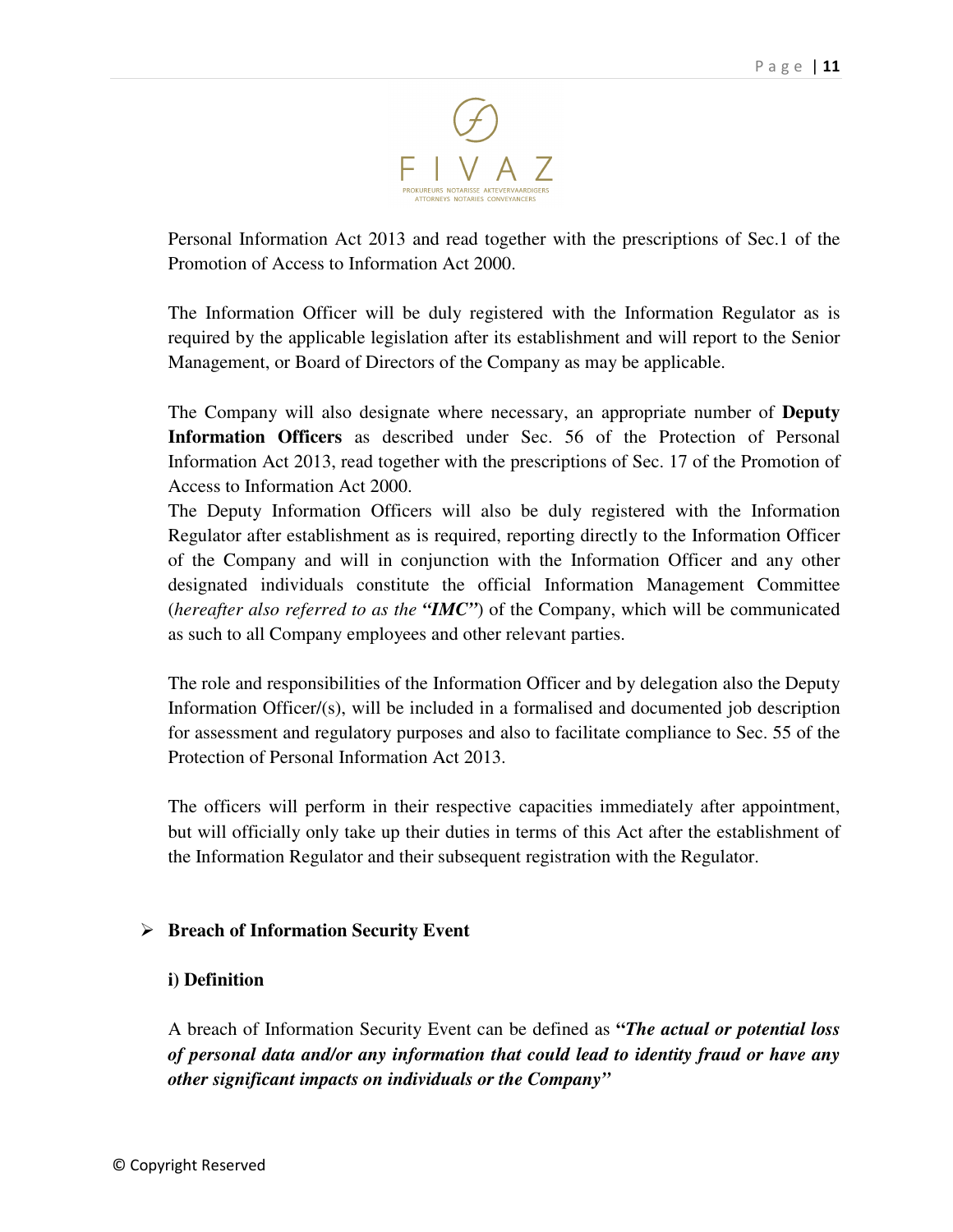

Personal Information Act 2013 and read together with the prescriptions of Sec.1 of the Promotion of Access to Information Act 2000.

The Information Officer will be duly registered with the Information Regulator as is required by the applicable legislation after its establishment and will report to the Senior Management, or Board of Directors of the Company as may be applicable.

The Company will also designate where necessary, an appropriate number of **Deputy Information Officers** as described under Sec. 56 of the Protection of Personal Information Act 2013, read together with the prescriptions of Sec. 17 of the Promotion of Access to Information Act 2000.

The Deputy Information Officers will also be duly registered with the Information Regulator after establishment as is required, reporting directly to the Information Officer of the Company and will in conjunction with the Information Officer and any other designated individuals constitute the official Information Management Committee (*hereafter also referred to as the "IMC"*) of the Company, which will be communicated as such to all Company employees and other relevant parties.

The role and responsibilities of the Information Officer and by delegation also the Deputy Information Officer/(s), will be included in a formalised and documented job description for assessment and regulatory purposes and also to facilitate compliance to Sec. 55 of the Protection of Personal Information Act 2013.

The officers will perform in their respective capacities immediately after appointment, but will officially only take up their duties in terms of this Act after the establishment of the Information Regulator and their subsequent registration with the Regulator.

#### **Breach of Information Security Event**

#### **i) Definition**

A breach of Information Security Event can be defined as **"***The actual or potential loss of personal data and/or any information that could lead to identity fraud or have any other significant impacts on individuals or the Company"*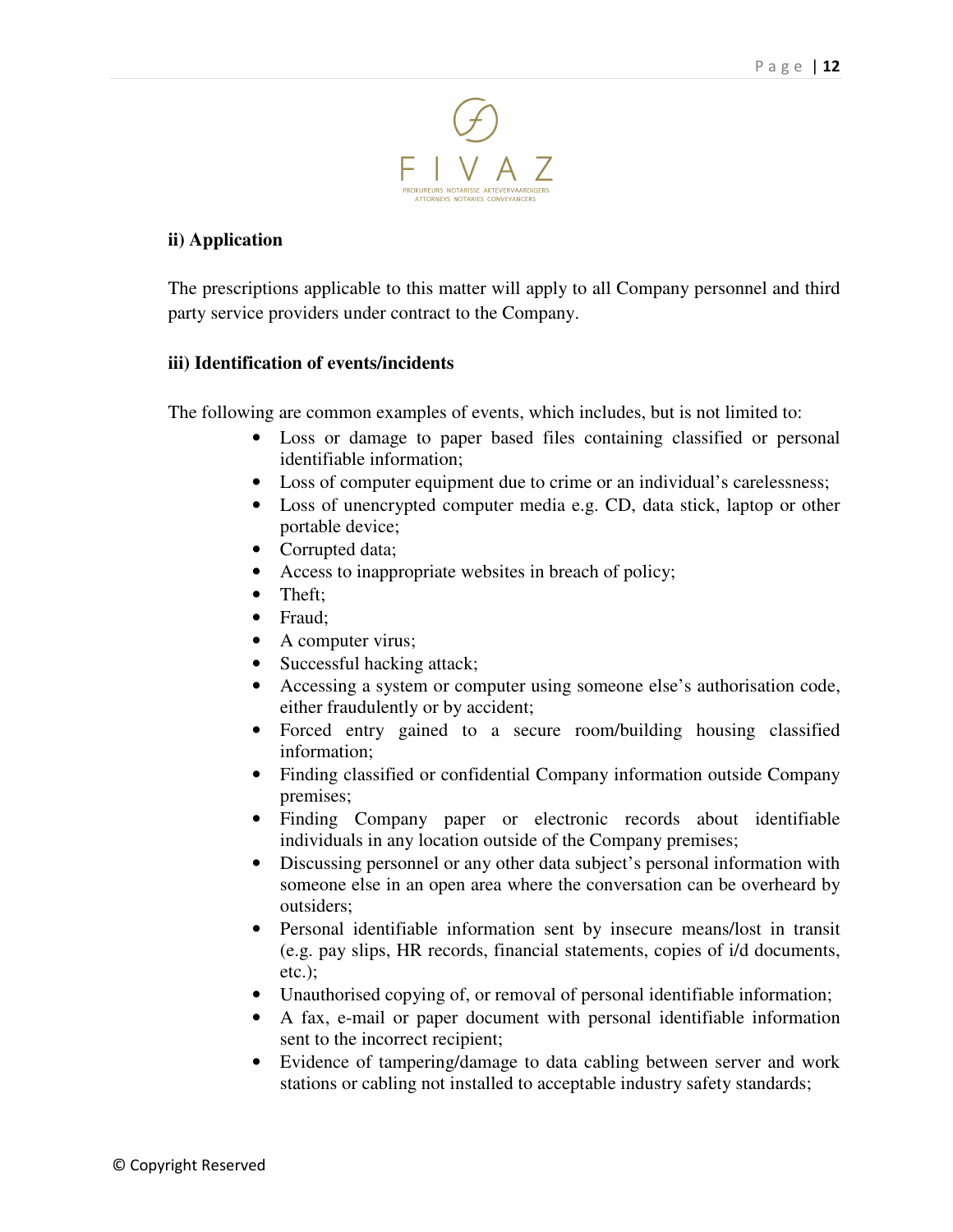

#### **ii) Application**

The prescriptions applicable to this matter will apply to all Company personnel and third party service providers under contract to the Company.

#### **iii) Identification of events/incidents**

The following are common examples of events, which includes, but is not limited to:

- Loss or damage to paper based files containing classified or personal identifiable information;
- Loss of computer equipment due to crime or an individual's carelessness;
- Loss of unencrypted computer media e.g. CD, data stick, laptop or other portable device;
- Corrupted data;
- Access to inappropriate websites in breach of policy;
- Theft:
- Fraud;
- A computer virus;
- Successful hacking attack;
- Accessing a system or computer using someone else's authorisation code, either fraudulently or by accident;
- Forced entry gained to a secure room/building housing classified information;
- Finding classified or confidential Company information outside Company premises;
- Finding Company paper or electronic records about identifiable individuals in any location outside of the Company premises;
- Discussing personnel or any other data subject's personal information with someone else in an open area where the conversation can be overheard by outsiders;
- Personal identifiable information sent by insecure means/lost in transit (e.g. pay slips, HR records, financial statements, copies of i/d documents, etc.);
- Unauthorised copying of, or removal of personal identifiable information;
- A fax, e-mail or paper document with personal identifiable information sent to the incorrect recipient;
- Evidence of tampering/damage to data cabling between server and work stations or cabling not installed to acceptable industry safety standards;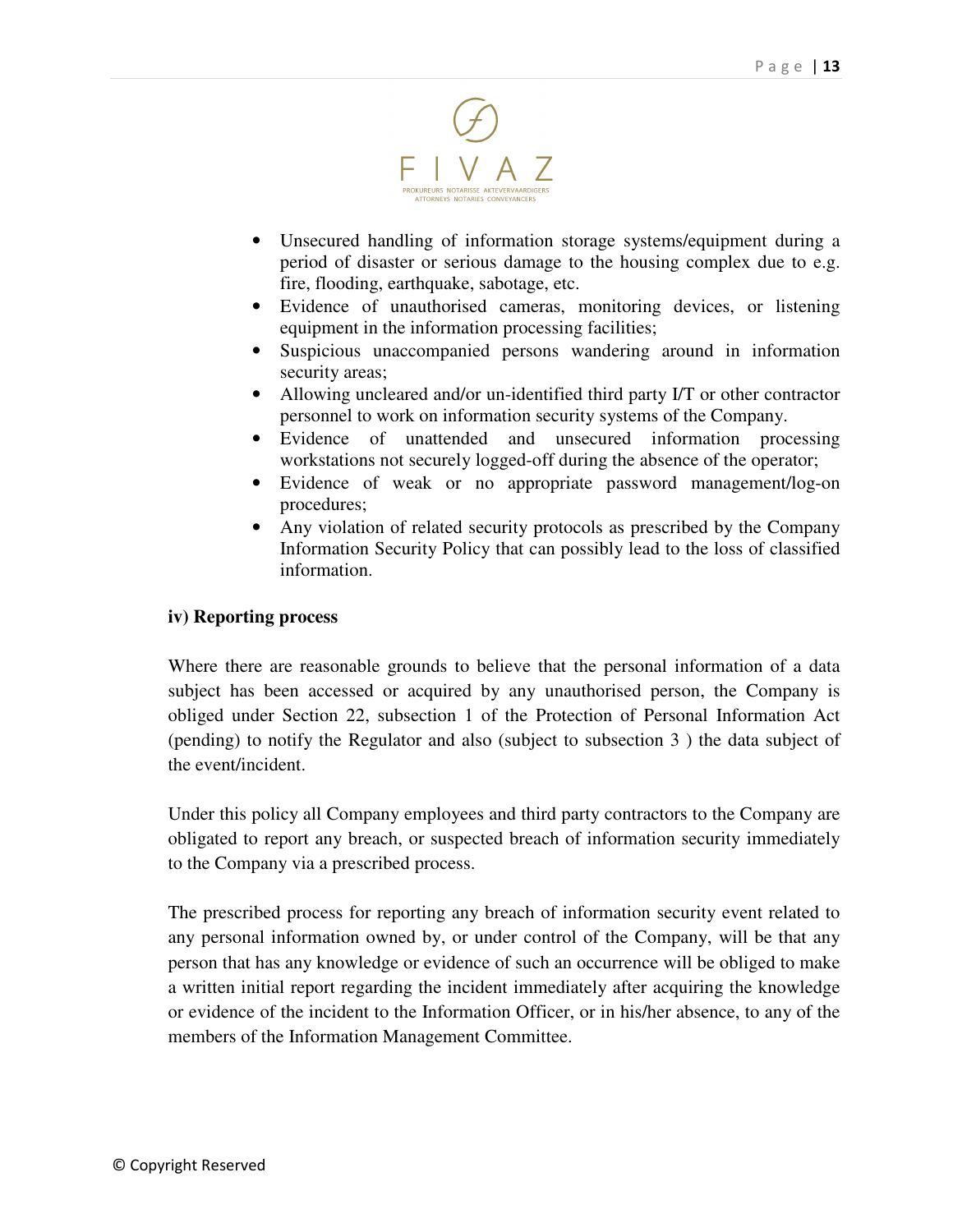

- Unsecured handling of information storage systems/equipment during a period of disaster or serious damage to the housing complex due to e.g. fire, flooding, earthquake, sabotage, etc.
- Evidence of unauthorised cameras, monitoring devices, or listening equipment in the information processing facilities;
- Suspicious unaccompanied persons wandering around in information security areas;
- Allowing uncleared and/or un-identified third party I/T or other contractor personnel to work on information security systems of the Company.
- Evidence of unattended and unsecured information processing workstations not securely logged-off during the absence of the operator;
- Evidence of weak or no appropriate password management/log-on procedures;
- Any violation of related security protocols as prescribed by the Company Information Security Policy that can possibly lead to the loss of classified information.

#### **iv) Reporting process**

Where there are reasonable grounds to believe that the personal information of a data subject has been accessed or acquired by any unauthorised person, the Company is obliged under Section 22, subsection 1 of the Protection of Personal Information Act (pending) to notify the Regulator and also (subject to subsection 3 ) the data subject of the event/incident.

Under this policy all Company employees and third party contractors to the Company are obligated to report any breach, or suspected breach of information security immediately to the Company via a prescribed process.

The prescribed process for reporting any breach of information security event related to any personal information owned by, or under control of the Company, will be that any person that has any knowledge or evidence of such an occurrence will be obliged to make a written initial report regarding the incident immediately after acquiring the knowledge or evidence of the incident to the Information Officer, or in his/her absence, to any of the members of the Information Management Committee.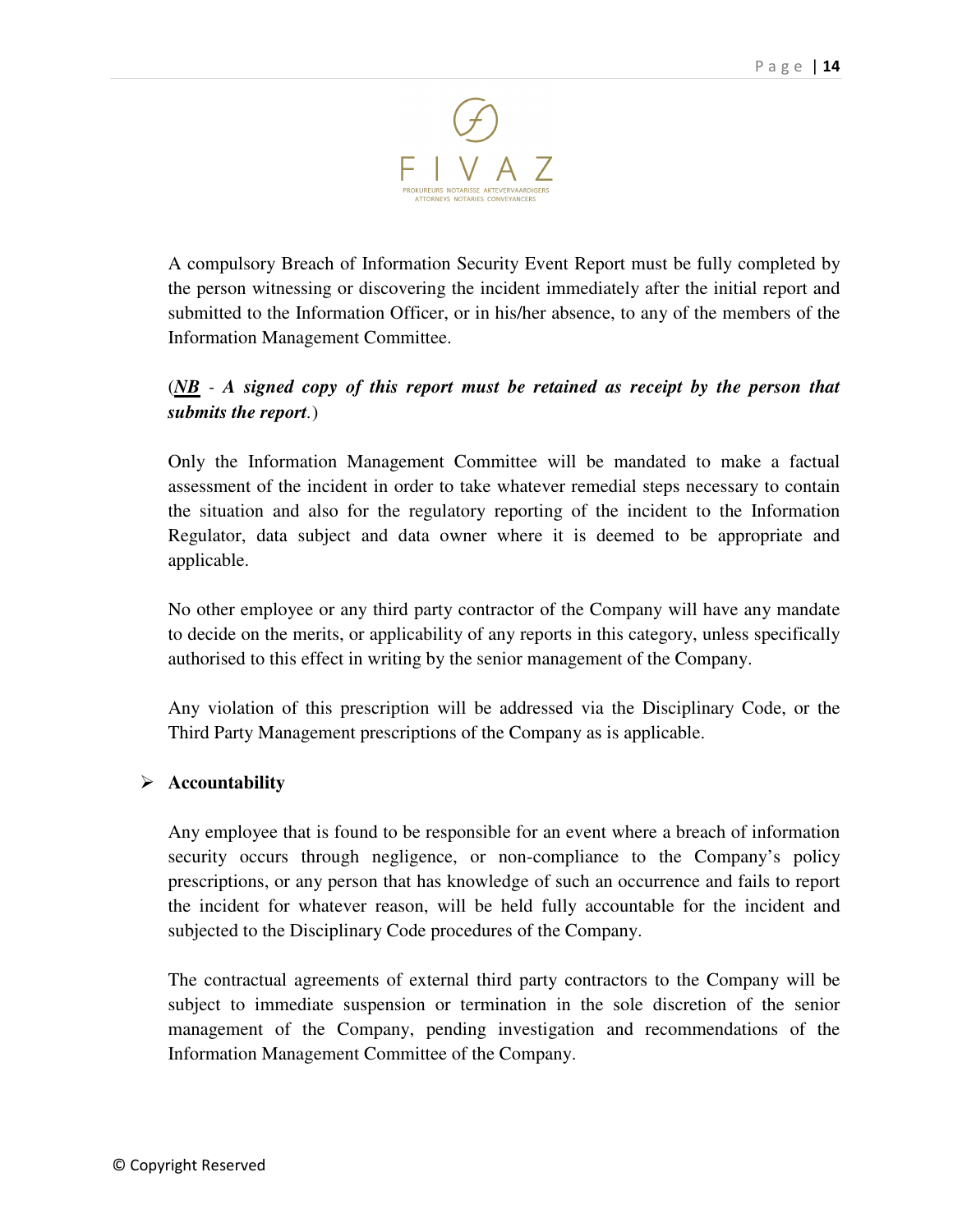

A compulsory Breach of Information Security Event Report must be fully completed by the person witnessing or discovering the incident immediately after the initial report and submitted to the Information Officer, or in his/her absence, to any of the members of the Information Management Committee.

# (*NB - A signed copy of this report must be retained as receipt by the person that submits the report.*)

Only the Information Management Committee will be mandated to make a factual assessment of the incident in order to take whatever remedial steps necessary to contain the situation and also for the regulatory reporting of the incident to the Information Regulator, data subject and data owner where it is deemed to be appropriate and applicable.

No other employee or any third party contractor of the Company will have any mandate to decide on the merits, or applicability of any reports in this category, unless specifically authorised to this effect in writing by the senior management of the Company.

Any violation of this prescription will be addressed via the Disciplinary Code, or the Third Party Management prescriptions of the Company as is applicable.

#### **Accountability**

Any employee that is found to be responsible for an event where a breach of information security occurs through negligence, or non-compliance to the Company's policy prescriptions, or any person that has knowledge of such an occurrence and fails to report the incident for whatever reason, will be held fully accountable for the incident and subjected to the Disciplinary Code procedures of the Company.

The contractual agreements of external third party contractors to the Company will be subject to immediate suspension or termination in the sole discretion of the senior management of the Company, pending investigation and recommendations of the Information Management Committee of the Company.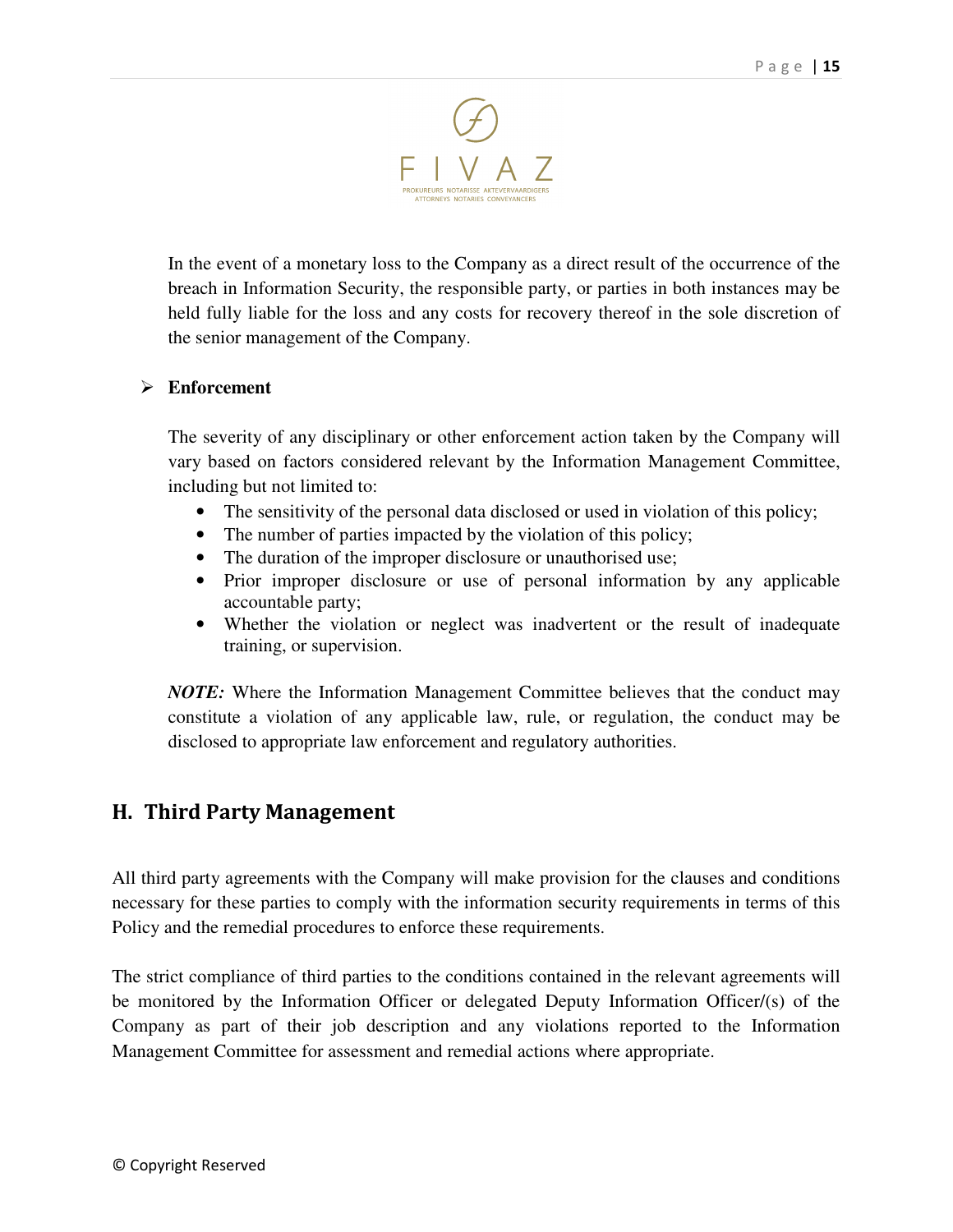

In the event of a monetary loss to the Company as a direct result of the occurrence of the breach in Information Security, the responsible party, or parties in both instances may be held fully liable for the loss and any costs for recovery thereof in the sole discretion of the senior management of the Company.

#### **Enforcement**

The severity of any disciplinary or other enforcement action taken by the Company will vary based on factors considered relevant by the Information Management Committee, including but not limited to:

- The sensitivity of the personal data disclosed or used in violation of this policy;
- The number of parties impacted by the violation of this policy;
- The duration of the improper disclosure or unauthorised use;
- Prior improper disclosure or use of personal information by any applicable accountable party;
- Whether the violation or neglect was inadvertent or the result of inadequate training, or supervision.

*NOTE:* Where the Information Management Committee believes that the conduct may constitute a violation of any applicable law, rule, or regulation, the conduct may be disclosed to appropriate law enforcement and regulatory authorities.

# H. Third Party Management

All third party agreements with the Company will make provision for the clauses and conditions necessary for these parties to comply with the information security requirements in terms of this Policy and the remedial procedures to enforce these requirements.

The strict compliance of third parties to the conditions contained in the relevant agreements will be monitored by the Information Officer or delegated Deputy Information Officer/(s) of the Company as part of their job description and any violations reported to the Information Management Committee for assessment and remedial actions where appropriate.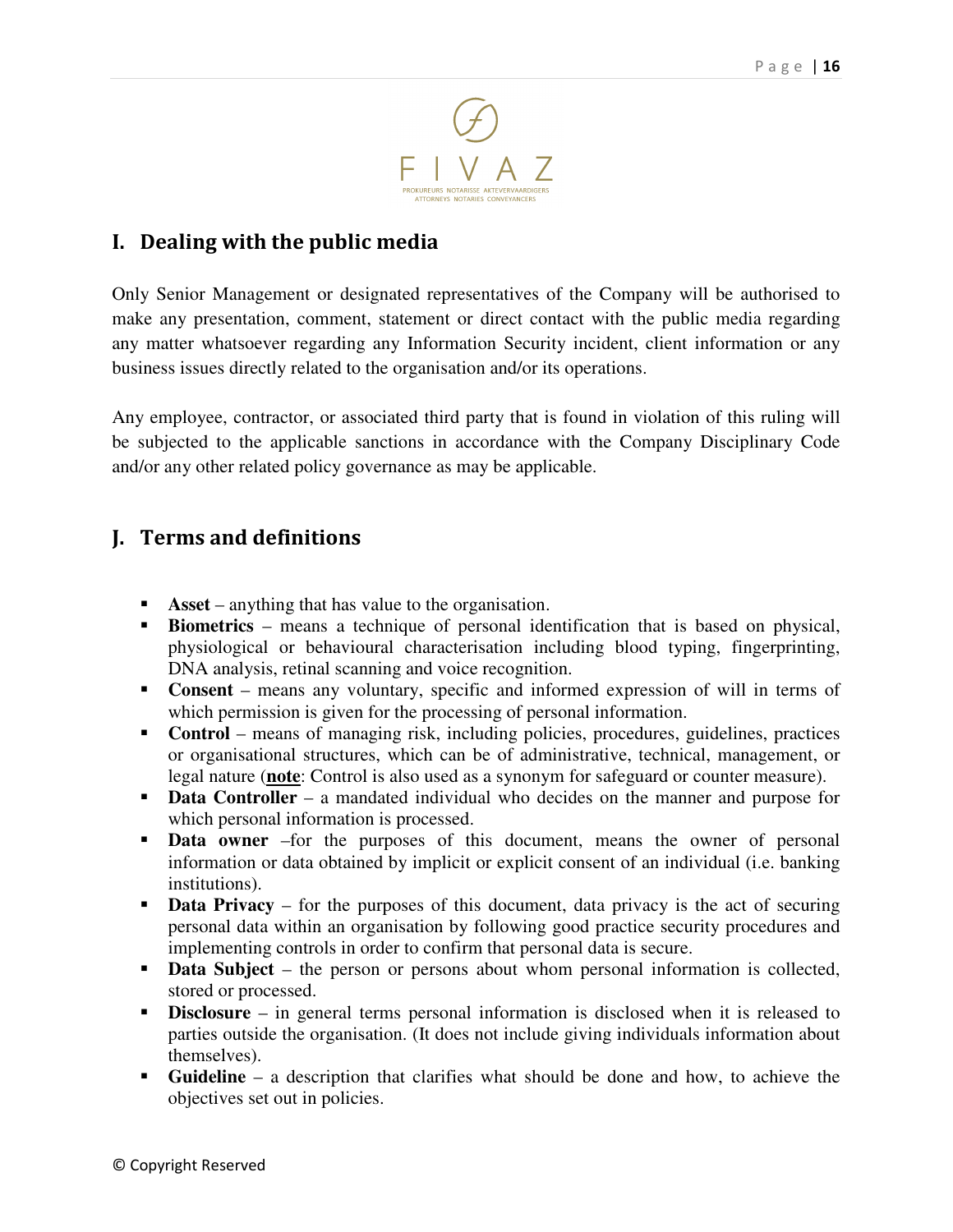

# I. Dealing with the public media

Only Senior Management or designated representatives of the Company will be authorised to make any presentation, comment, statement or direct contact with the public media regarding any matter whatsoever regarding any Information Security incident, client information or any business issues directly related to the organisation and/or its operations.

Any employee, contractor, or associated third party that is found in violation of this ruling will be subjected to the applicable sanctions in accordance with the Company Disciplinary Code and/or any other related policy governance as may be applicable.

# J. Terms and definitions

- **Asset** anything that has value to the organisation.
- **Biometrics** means a technique of personal identification that is based on physical, physiological or behavioural characterisation including blood typing, fingerprinting, DNA analysis, retinal scanning and voice recognition.
- **Consent** means any voluntary, specific and informed expression of will in terms of which permission is given for the processing of personal information.
- **Control** means of managing risk, including policies, procedures, guidelines, practices or organisational structures, which can be of administrative, technical, management, or legal nature (**note**: Control is also used as a synonym for safeguard or counter measure).
- **Data Controller** a mandated individual who decides on the manner and purpose for which personal information is processed.
- **Data owner** –for the purposes of this document, means the owner of personal information or data obtained by implicit or explicit consent of an individual (i.e. banking institutions).
- **Data Privacy** for the purposes of this document, data privacy is the act of securing personal data within an organisation by following good practice security procedures and implementing controls in order to confirm that personal data is secure.
- **Data Subject** the person or persons about whom personal information is collected, stored or processed.
- -**Disclosure** – in general terms personal information is disclosed when it is released to parties outside the organisation. (It does not include giving individuals information about themselves).
- **Guideline** a description that clarifies what should be done and how, to achieve the objectives set out in policies.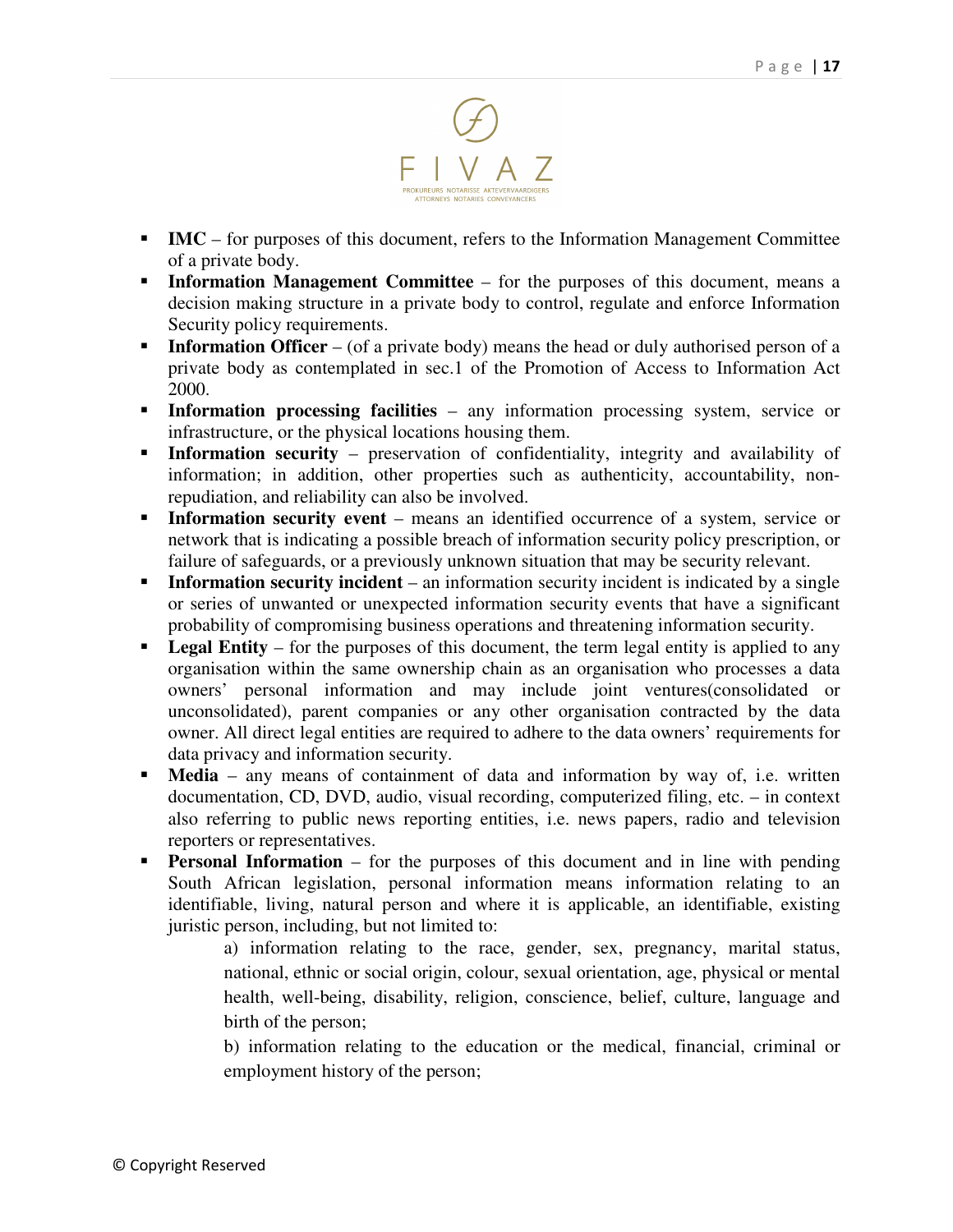

- **IMC** for purposes of this document, refers to the Information Management Committee of a private body.
- **Information Management Committee** for the purposes of this document, means a decision making structure in a private body to control, regulate and enforce Information Security policy requirements.
- -**Information Officer** – (of a private body) means the head or duly authorised person of a private body as contemplated in sec.1 of the Promotion of Access to Information Act 2000.
- **Information processing facilities** any information processing system, service or infrastructure, or the physical locations housing them.
- **Information security** preservation of confidentiality, integrity and availability of information; in addition, other properties such as authenticity, accountability, nonrepudiation, and reliability can also be involved.
- **Information security event** means an identified occurrence of a system, service or network that is indicating a possible breach of information security policy prescription, or failure of safeguards, or a previously unknown situation that may be security relevant.
- **Information security incident** an information security incident is indicated by a single or series of unwanted or unexpected information security events that have a significant probability of compromising business operations and threatening information security.
- -Legal Entity – for the purposes of this document, the term legal entity is applied to any organisation within the same ownership chain as an organisation who processes a data owners' personal information and may include joint ventures(consolidated or unconsolidated), parent companies or any other organisation contracted by the data owner. All direct legal entities are required to adhere to the data owners' requirements for data privacy and information security.
- - **Media** – any means of containment of data and information by way of, i.e. written documentation, CD, DVD, audio, visual recording, computerized filing, etc. – in context also referring to public news reporting entities, i.e. news papers, radio and television reporters or representatives.
- **Personal Information** for the purposes of this document and in line with pending South African legislation, personal information means information relating to an identifiable, living, natural person and where it is applicable, an identifiable, existing juristic person, including, but not limited to:

a) information relating to the race, gender, sex, pregnancy, marital status, national, ethnic or social origin, colour, sexual orientation, age, physical or mental health, well-being, disability, religion, conscience, belief, culture, language and birth of the person;

b) information relating to the education or the medical, financial, criminal or employment history of the person;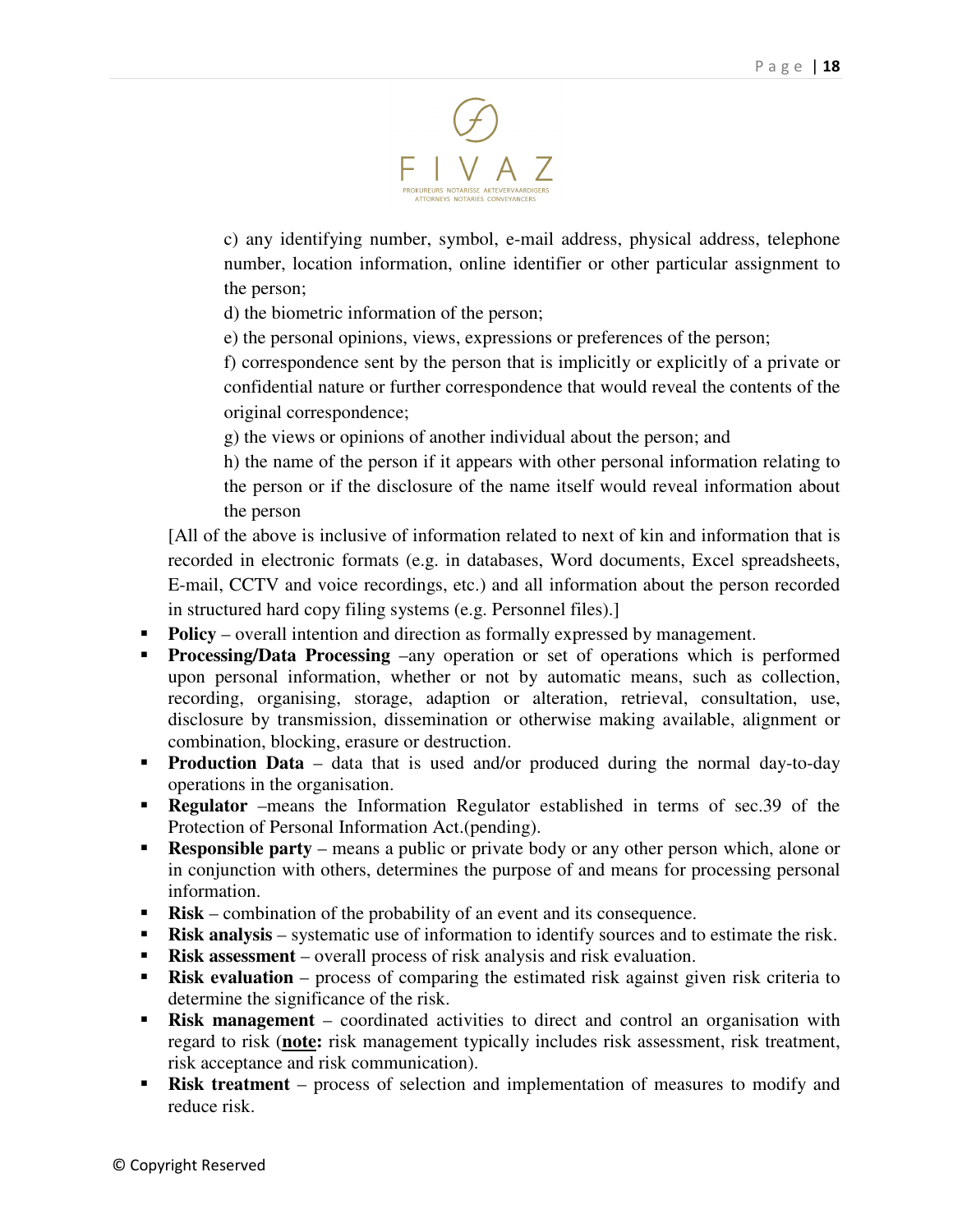

c) any identifying number, symbol, e-mail address, physical address, telephone number, location information, online identifier or other particular assignment to the person;

d) the biometric information of the person;

e) the personal opinions, views, expressions or preferences of the person;

f) correspondence sent by the person that is implicitly or explicitly of a private or confidential nature or further correspondence that would reveal the contents of the original correspondence;

g) the views or opinions of another individual about the person; and

h) the name of the person if it appears with other personal information relating to the person or if the disclosure of the name itself would reveal information about the person

[All of the above is inclusive of information related to next of kin and information that is recorded in electronic formats (e.g. in databases, Word documents, Excel spreadsheets, E-mail, CCTV and voice recordings, etc.) and all information about the person recorded in structured hard copy filing systems (e.g. Personnel files).]

- **Policy** overall intention and direction as formally expressed by management.
- **Processing/Data Processing** –any operation or set of operations which is performed upon personal information, whether or not by automatic means, such as collection, recording, organising, storage, adaption or alteration, retrieval, consultation, use, disclosure by transmission, dissemination or otherwise making available, alignment or combination, blocking, erasure or destruction.
- **Production Data** data that is used and/or produced during the normal day-to-day operations in the organisation.
- **Regulator** –means the Information Regulator established in terms of sec.39 of the Protection of Personal Information Act.(pending).
- **Responsible party** means a public or private body or any other person which, alone or in conjunction with others, determines the purpose of and means for processing personal information.
- **Risk** combination of the probability of an event and its consequence.
- **Risk analysis** systematic use of information to identify sources and to estimate the risk.
- **Risk assessment** overall process of risk analysis and risk evaluation.
- **Risk evaluation** process of comparing the estimated risk against given risk criteria to determine the significance of the risk.
- -**Risk management** – coordinated activities to direct and control an organisation with regard to risk (**note:** risk management typically includes risk assessment, risk treatment, risk acceptance and risk communication).
- **Risk treatment** process of selection and implementation of measures to modify and reduce risk.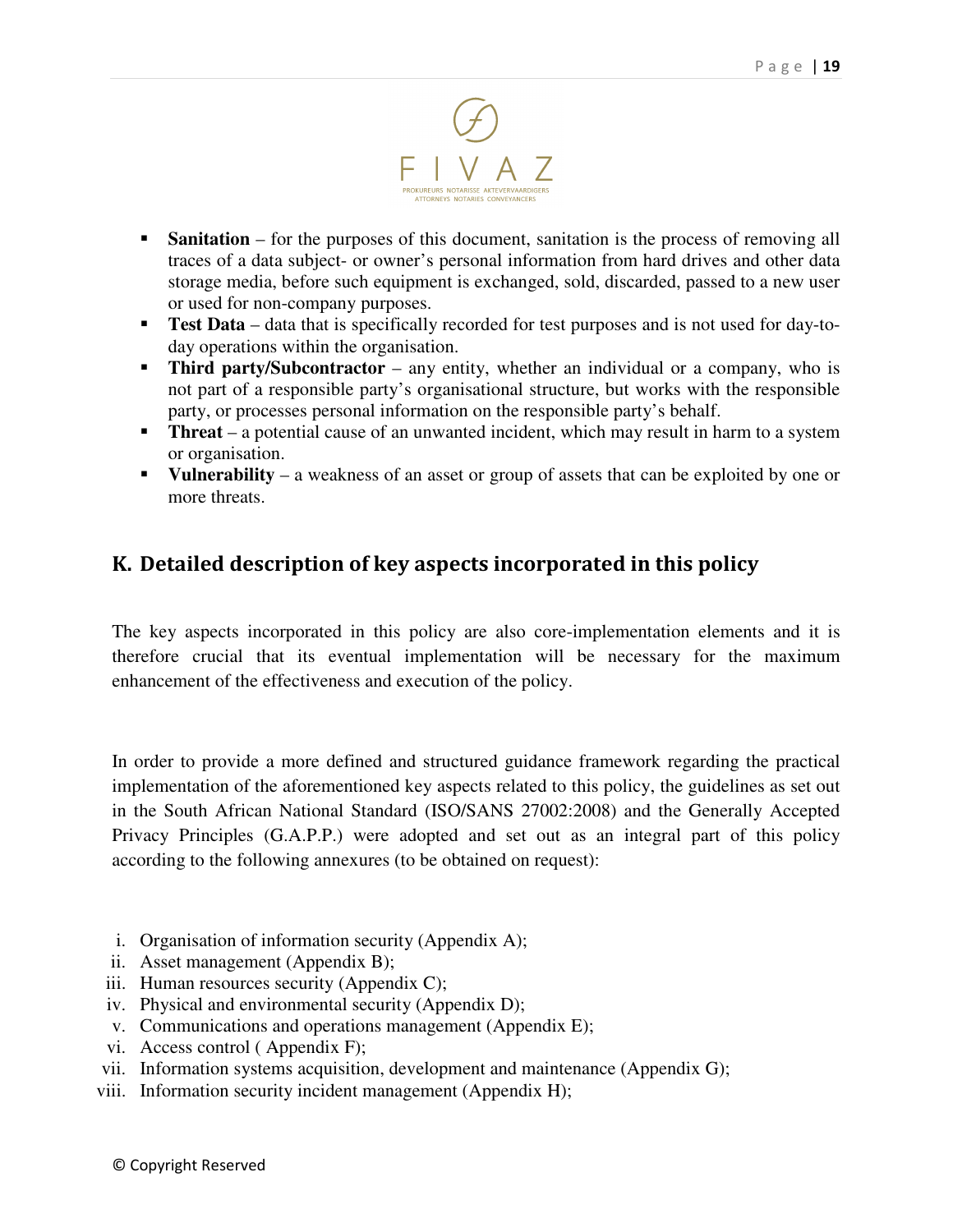

- **Sanitation** for the purposes of this document, sanitation is the process of removing all traces of a data subject- or owner's personal information from hard drives and other data storage media, before such equipment is exchanged, sold, discarded, passed to a new user or used for non-company purposes.
- **Test Data** data that is specifically recorded for test purposes and is not used for day-today operations within the organisation.
- **Third party/Subcontractor** any entity, whether an individual or a company, who is not part of a responsible party's organisational structure, but works with the responsible party, or processes personal information on the responsible party's behalf.
- **Threat** a potential cause of an unwanted incident, which may result in harm to a system or organisation.
- **•** Vulnerability a weakness of an asset or group of assets that can be exploited by one or more threats.

# K. Detailed description of key aspects incorporated in this policy

The key aspects incorporated in this policy are also core-implementation elements and it is therefore crucial that its eventual implementation will be necessary for the maximum enhancement of the effectiveness and execution of the policy.

In order to provide a more defined and structured guidance framework regarding the practical implementation of the aforementioned key aspects related to this policy, the guidelines as set out in the South African National Standard (ISO/SANS 27002:2008) and the Generally Accepted Privacy Principles (G.A.P.P.) were adopted and set out as an integral part of this policy according to the following annexures (to be obtained on request):

- i. Organisation of information security (Appendix A);
- ii. Asset management (Appendix B);
- iii. Human resources security (Appendix C);
- iv. Physical and environmental security (Appendix D);
- v. Communications and operations management (Appendix E);
- vi. Access control ( Appendix F);
- vii. Information systems acquisition, development and maintenance (Appendix G);
- viii. Information security incident management (Appendix H);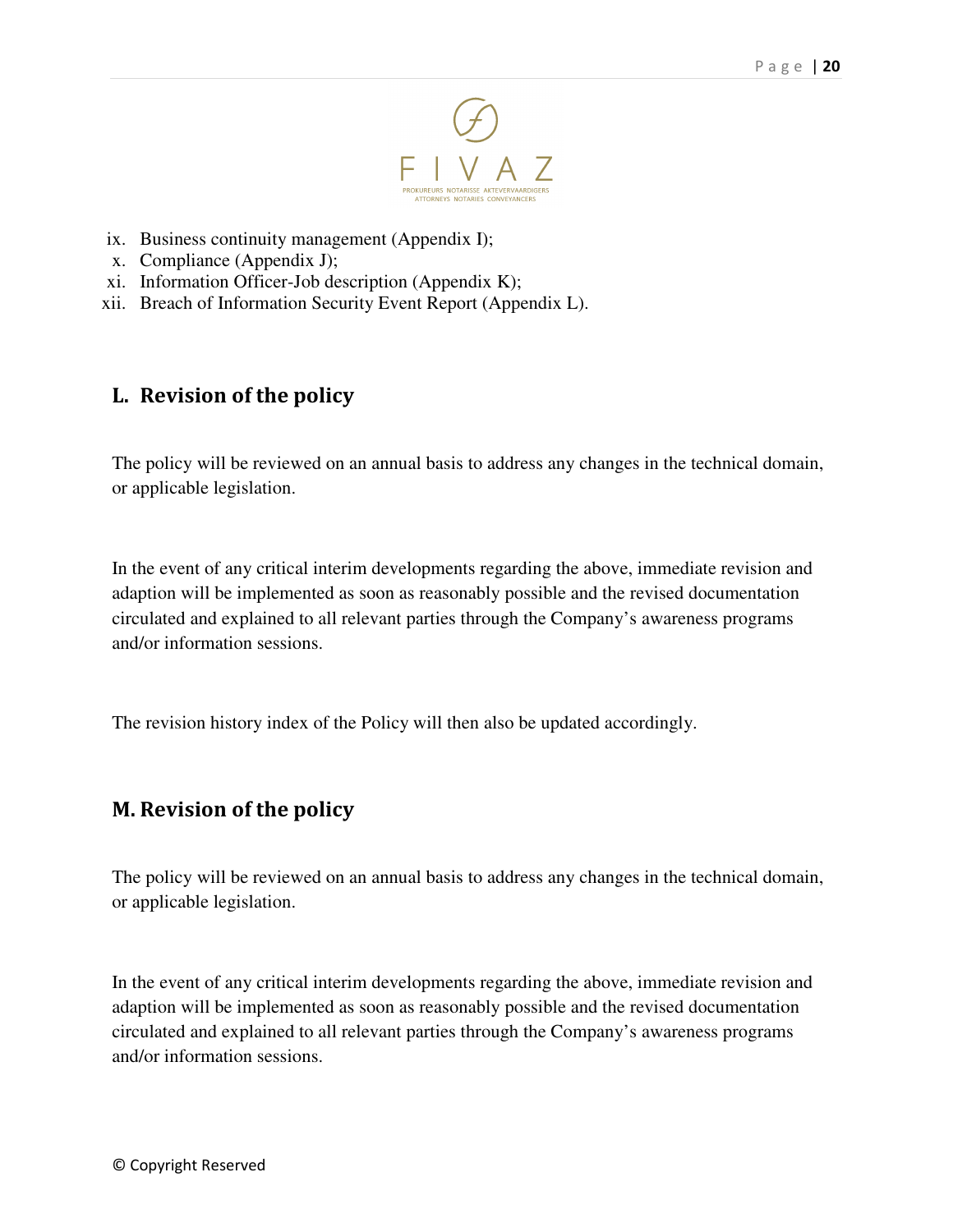

- ix. Business continuity management (Appendix I);
- x. Compliance (Appendix J);
- xi. Information Officer-Job description (Appendix K);
- xii. Breach of Information Security Event Report (Appendix L).

# L. Revision of the policy

The policy will be reviewed on an annual basis to address any changes in the technical domain, or applicable legislation.

In the event of any critical interim developments regarding the above, immediate revision and adaption will be implemented as soon as reasonably possible and the revised documentation circulated and explained to all relevant parties through the Company's awareness programs and/or information sessions.

The revision history index of the Policy will then also be updated accordingly.

# M. Revision of the policy

The policy will be reviewed on an annual basis to address any changes in the technical domain, or applicable legislation.

In the event of any critical interim developments regarding the above, immediate revision and adaption will be implemented as soon as reasonably possible and the revised documentation circulated and explained to all relevant parties through the Company's awareness programs and/or information sessions.